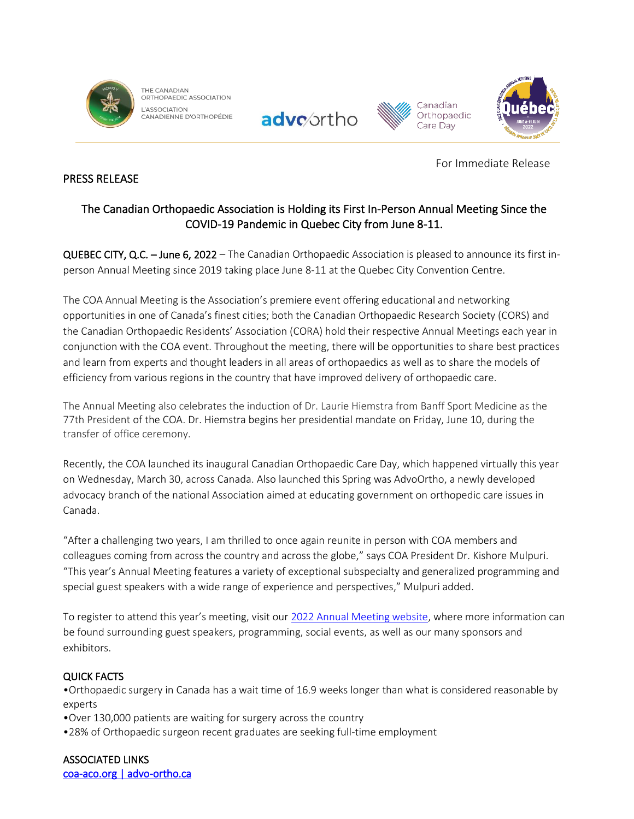

THE CANADIAN ORTHOPAEDIC ASSOCIATION L'ASSOCIATION CANADIENNE D'ORTHOPÉDIE







For Immediate Release

# PRESS RELEASE

# The Canadian Orthopaedic Association is Holding its First In-Person Annual Meeting Since the COVID-19 Pandemic in Quebec City from June 8-11.

QUEBEC CITY, Q.C. – June 6, 2022 – The Canadian Orthopaedic Association is pleased to announce its first inperson Annual Meeting since 2019 taking place June 8-11 at the Quebec City Convention Centre.

The COA Annual Meeting is the Association's premiere event offering educational and networking opportunities in one of Canada's finest cities; both the Canadian Orthopaedic Research Society (CORS) and the Canadian Orthopaedic Residents' Association (CORA) hold their respective Annual Meetings each year in conjunction with the COA event. Throughout the meeting, there will be opportunities to share best practices and learn from experts and thought leaders in all areas of orthopaedics as well as to share the models of efficiency from various regions in the country that have improved delivery of orthopaedic care.

The Annual Meeting also celebrates the induction of Dr. Laurie Hiemstra from Banff Sport Medicine as the 77th President of the COA. Dr. Hiemstra begins her presidential mandate on Friday, June 10, during the transfer of office ceremony.

Recently, the COA launched its inaugural Canadian Orthopaedic Care Day, which happened virtually this year on Wednesday, March 30, across Canada. Also launched this Spring was AdvoOrtho, a newly developed advocacy branch of the national Association aimed at educating government on orthopedic care issues in Canada.

"After a challenging two years, I am thrilled to once again reunite in person with COA members and colleagues coming from across the country and across the globe," says COA President Dr. Kishore Mulpuri. "This year's Annual Meeting features a variety of exceptional subspecialty and generalized programming and special guest speakers with a wide range of experience and perspectives," Mulpuri added.

To register to attend this year's meeting, visit our 2022 Annual Meeting website, where more information can be found surrounding guest speakers, programming, social events, as well as our many sponsors and exhibitors.

# QUICK FACTS

•Orthopaedic surgery in Canada has a wait time of 16.9 weeks longer than what is considered reasonable by experts

- •Over 130,000 patients are waiting for surgery across the country
- •28% of Orthopaedic surgeon recent graduates are seeking full-time employment